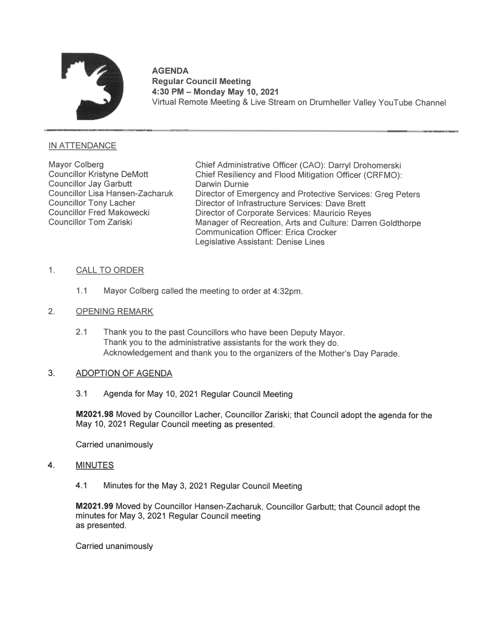

# AGENDA Regular Council Meeting 4:30 PM — Monday May 10, 2021 . Virtual Remote Meeting & Live Stream on Drumheller Valley YouTube Channel

## **IN ATTENDANCE**

Councillor Jay Garbutt **Darwin Durnie**<br>Councillor Lisa Hansen-Zacharuk Director of Eme

Mayor Colberg Chief Administrative Officer (CAO): Darryl Drohomerski<br>Councillor Kristyne DeMott Chief Resiliency and Flood Mitigation Officer (CRFMO) Chief Resiliency and Flood Mitigation Officer (CRFMO): Councillor Lisa Hansen-Zacharuk Director of Emergency and Protective Services: Greg Peters Councillor Tony Lacher **Director of Infrastructure Services: Dave Brett**<br>Councillor Fred Makowecki **Director of Corporate Services: Mauricio Reve** Councillor Fred Makowecki Director of Corporate Services: Mauricio Reyes<br>Councillor Tom Zariski Director Manager of Recreation, Arts and Culture: Darre Manager of Recreation, Arts and Culture: Darren Goldthorpe Communication Officer: Erica Crocker Legislative Assistant: Denise Lines

# 1. CALL TO ORDER

1.1 Mayor Colberg called the meeting to order at 4:32pm.

# 2. OPENING REMARK

2.1 Thank you to the past Councillors who have been Deputy Mayor. Thank you to the administrative assistants for the work they do. Acknowledgement and thank you to the organizers of the Mother's Day Parade.

# 3. ADOPTION OF AGENDA

3.1 <sup>4</sup> Agenda for May 10, 2021 Regular Council Meeting

M2021.98 Moved by Councillor Lacher, Councillor Zariski; that Council adopt the agenda for the May 10, 2021 Regular Council meeting as presented.

Carried unanimously

# 4. MINUTES

4.1 Minutes for the May 3, 2021 Regular Council Meeting

M2021.99 Moved by Councillor Hansen-Zacharuk, Councillor Garbutt; that Council adopt the minutes for May 3, 2021 Regular Council meeting as presented.

Carried unanimously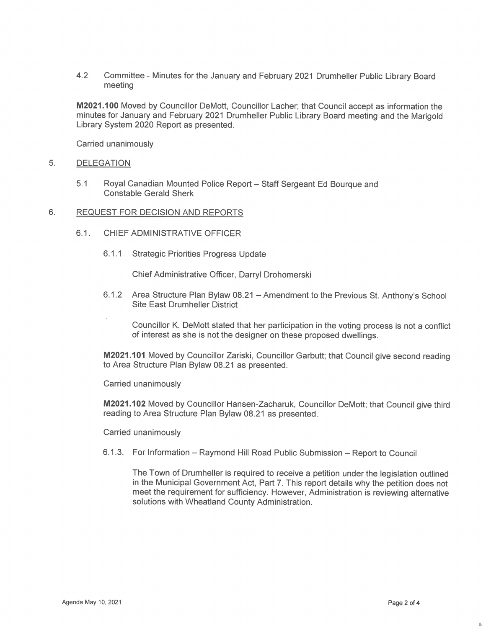4.2 Committee - Minutes for the January and February 2021 Drumheller Public Library Board meeting

M2021.10O Moved by Councillor DeMott, Councillor Lacher; that Council accept as information the minutes for January and February 2021 Drumheller Public Library Board meeting and the Marigold Library System 2020 Report as presented.

Carried unanimously

#### 5. DELEGATION

5.1 Royal Canadian Mounted Police Report — Staff Sergeant Ed Bourque and Constable Gerald Sherk

#### $6.$ REQUEST FOR DECISION AND REPORTS

- 6.1 CHIEF ADMINISTRATIVE OFFICER
	- 6.1.1 Strategic Priorities Progress Update

Chief Administrative Officer, Darryl Drohomerski

- 6.1.2 Area Structure Plan Bylaw 08.21 Amendment to the Previous St. Anthony's School Site East Drumheller District
	- Councillor K. DeMott stated that her participation in the voting process is not a conflict of interest as she is not the designer on these proposed dwellings.

M2021.101 Moved by Councillor Zariski, Councillor Garbutt; that Council give second reading to Area Structure Plan Bylaw 08.21 as presented.

Carried unanimously

M2021.102 Moved by Councillor Hansen-Zacharuk, Councillor DeMott; that Council give third reading to Area Structure Plan Bylaw 08.21 as presented.

Carried unanimously

6.1.3. For Information – Raymond Hill Road Public Submission – Report to Council

The Town of Drumheller is required to receive a petition under the legislation outlined in the Municipal Government Act, Part 7. This report details why the petition does not meet the requirement for sufficiency. However, Administration is reviewing alternative solutions with Wheatland County Administration.

 $\overline{\mathbf{a}}$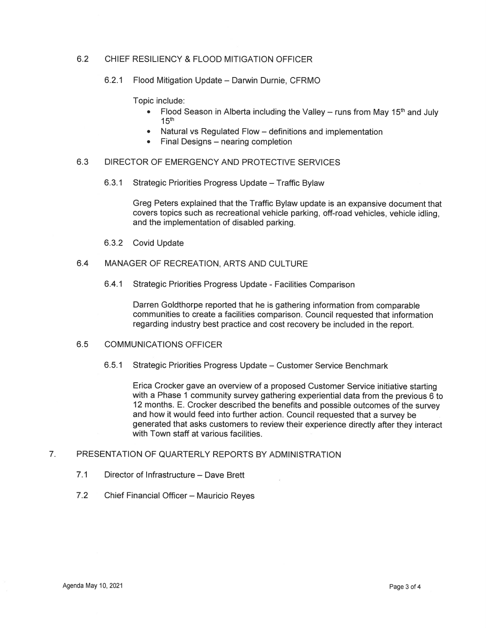## 6.2 CHIEF RESILIENCY & FLOOD MITIGATION OFFICER

#### 6.2.1 Flood Mitigation Update — Darwin Durnie, CFRMO

Topic include:

- Flood Season in Alberta including the Valley runs from May 15<sup>th</sup> and July  $15<sup>th</sup>$
- Natural vs Regulated Flow definitions and implementation
- Final Designs nearing completion

## 6.3 DIRECTOR OF EMERGENCY AND PROTECTIVE SERVICES

6.3.1 Strategic Priorities Progress Update — Traffic Bylaw

Greg Peters explained that the Traffic Bylaw update is an expansive document that covers topics such as recreational vehicle parking, off-road vehicles, vehicle idling, and the implementation of disabled parking.

6.3.2 Covid Update

# 6.4 MANAGER OF RECREATION, ARTS AND CULTURE

6.4.1 Strategic Priorities Progress Update - Facilities Comparison

Darren Goldthorpe reported that he is gathering information from comparable communities to create a facilities comparison. Council requested that information regarding industry best practice and cost recovery be included in the report.

### 6.5 COMMUNICATIONS OFFICER

6.5.1 Strategic Priorities Progress Update — Customer Service Benchmark

Erica Crocker gave an overview of a proposed Customer Service initiative starting with a Phase 1 community survey gathering experiential data from the previous 6 to 12 months. E. Crocker described the benefits and possible outcomes of the survey and how it would feed into further action. Council requested that a survey be generated that asks customers to review their experience directly after they inter with Town staff at various facilities.

#### $7<sub>1</sub>$ PRESENTATION OF QUARTERLY REPORTS BY ADMINISTRATION

- 7.1 Director of Infrastructure Dave Brett
- 7.2 Chief Financial Officer Mauricio Reyes